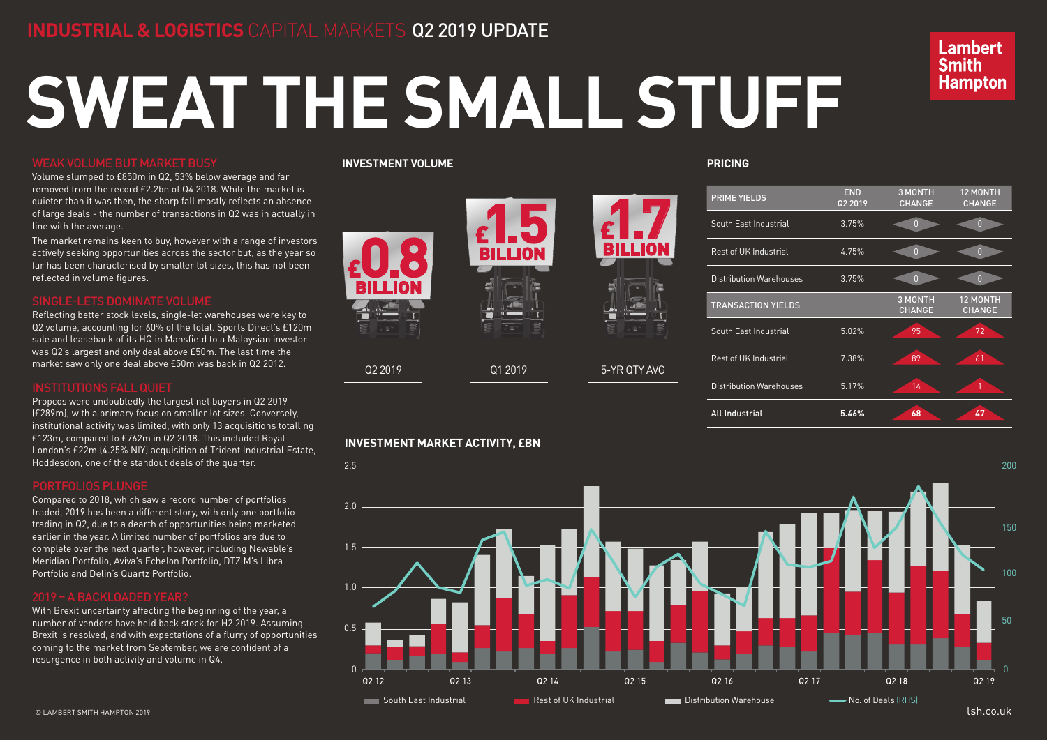# **SWEAT THE SMALL STUFF**

## WEAK VOLUME BUT MARKET BUSY

Volume slumped to £850m in Q2, 53% below average and far removed from the record £2.2bn of Q4 2018. While the market is quieter than it was then, the sharp fall mostly reflects an absence of large deals - the number of transactions in Q2 was in actually in line with the average.

The market remains keen to buy, however with a range of investors actively seeking opportunities across the sector but, as the year so far has been characterised by smaller lot sizes, this has not been reflected in volume figures.

Reflecting better stock levels, single-let warehouses were key to Q2 volume, accounting for 60% of the total. Sports Direct's £120m sale and leaseback of its HQ in Mansfield to a Malaysian investor was Q2's largest and only deal above £50m. The last time the market saw only one deal above £50m was back in Q2 2012.

Propcos were undoubtedly the largest net buyers in Q2 2019 (£289m), with a primary focus on smaller lot sizes. Conversely, institutional activity was limited, with only 13 acquisitions totalling £123m, compared to £762m in Q2 2018. This included Royal London's £22m (4.25% NIY) acquisition of Trident Industrial Estate, Hoddesdon, one of the standout deals of the quarter.

Compared to 2018, which saw a record number of portfolios traded, 2019 has been a different story, with only one portfolio trading in Q2, due to a dearth of opportunities being marketed earlier in the year. A limited number of portfolios are due to complete over the next quarter, however, including Newable's Meridian Portfolio, Aviva's Echelon Portfolio, DTZIM's Libra Portfolio and Delin's Quartz Portfolio.

With Brexit uncertainty affecting the beginning of the year, a number of vendors have held back stock for H2 2019. Assuming Brexit is resolved, and with expectations of a flurry of opportunities coming to the market from September, we are confident of a resurgence in both activity and volume in Q4.

**PRICING**

# **Lambert Smith Hampton**

|                  | <b>END</b><br>Q2 2019 | <b>3 MONTH</b><br><b>CHANGE</b> | <b>12 MONTH</b><br><b>CHANGE</b> |
|------------------|-----------------------|---------------------------------|----------------------------------|
|                  | 3.75%                 | $\boldsymbol{0}$                | $\overline{0}$                   |
|                  | 4.75%                 | $\overline{0}$                  | $\overline{0}$                   |
| ses              | 3.75%                 | $\overline{0}$                  | $\overline{0}$                   |
| ງຽ               |                       | <b>3 MONTH</b><br><b>CHANGE</b> | <b>12 MONTH</b><br><b>CHANGE</b> |
|                  | 5.02%                 | 95                              | 72                               |
|                  | 7.38%                 | 89                              | 61                               |
| $se\overline{s}$ | 5.17%                 | 14                              | 1                                |
|                  | 5.46%                 | 68                              | 47                               |



### **INVESTMENT VOLUME**

## **INVESTMENT MARKET ACTIVITY, £BN**